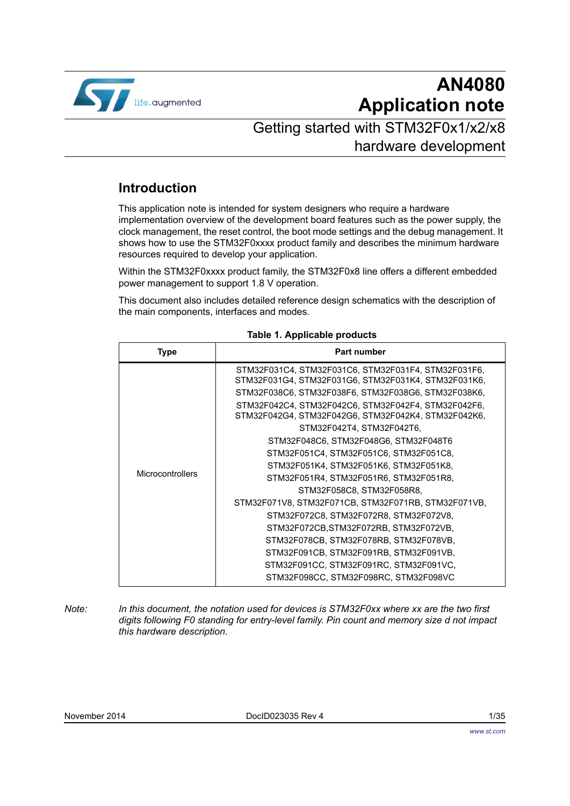

# **AN4080 Application note**

## Getting started with STM32F0x1/x2/x8 hardware development

## **Introduction**

This application note is intended for system designers who require a hardware implementation overview of the development board features such as the power supply, the clock management, the reset control, the boot mode settings and the debug management. It shows how to use the STM32F0xxxx product family and describes the minimum hardware resources required to develop your application.

Within the STM32F0xxxx product family, the STM32F0x8 line offers a different embedded power management to support 1.8 V operation.

This document also includes detailed reference design schematics with the description of the main components, interfaces and modes.

<span id="page-0-0"></span>

| Type             | <b>Part number</b>                                                                                         |  |  |  |  |
|------------------|------------------------------------------------------------------------------------------------------------|--|--|--|--|
|                  | STM32F031C4, STM32F031C6, STM32F031F4, STM32F031F6,<br>STM32F031G4, STM32F031G6, STM32F031K4, STM32F031K6, |  |  |  |  |
|                  | STM32F038C6, STM32F038F6, STM32F038G6, STM32F038K6,                                                        |  |  |  |  |
|                  | STM32F042C4, STM32F042C6, STM32F042F4, STM32F042F6,<br>STM32F042G4, STM32F042G6, STM32F042K4, STM32F042K6, |  |  |  |  |
|                  | STM32F042T4, STM32F042T6,                                                                                  |  |  |  |  |
|                  | STM32F048C6, STM32F048G6, STM32F048T6                                                                      |  |  |  |  |
|                  | STM32F051C4, STM32F051C6, STM32F051C8,                                                                     |  |  |  |  |
|                  | STM32F051K4, STM32F051K6, STM32F051K8,                                                                     |  |  |  |  |
| Microcontrollers | STM32F051R4, STM32F051R6, STM32F051R8,                                                                     |  |  |  |  |
|                  | STM32F058C8, STM32F058R8,                                                                                  |  |  |  |  |
|                  | STM32F071V8, STM32F071CB, STM32F071RB, STM32F071VB,                                                        |  |  |  |  |
|                  | STM32F072C8, STM32F072R8, STM32F072V8,                                                                     |  |  |  |  |
|                  | STM32F072CB,STM32F072RB, STM32F072VB,                                                                      |  |  |  |  |
|                  | STM32F078CB, STM32F078RB, STM32F078VB,                                                                     |  |  |  |  |
|                  | STM32F091CB, STM32F091RB, STM32F091VB,                                                                     |  |  |  |  |
|                  | STM32F091CC, STM32F091RC, STM32F091VC,                                                                     |  |  |  |  |
|                  | STM32F098CC, STM32F098RC, STM32F098VC                                                                      |  |  |  |  |

#### <span id="page-0-1"></span>**Table 1. Applicable products**

*Note: In this document, the notation used for devices is STM32F0xx where xx are the two first digits following F0 standing for entry-level family. Pin count and memory size d not impact this hardware description.*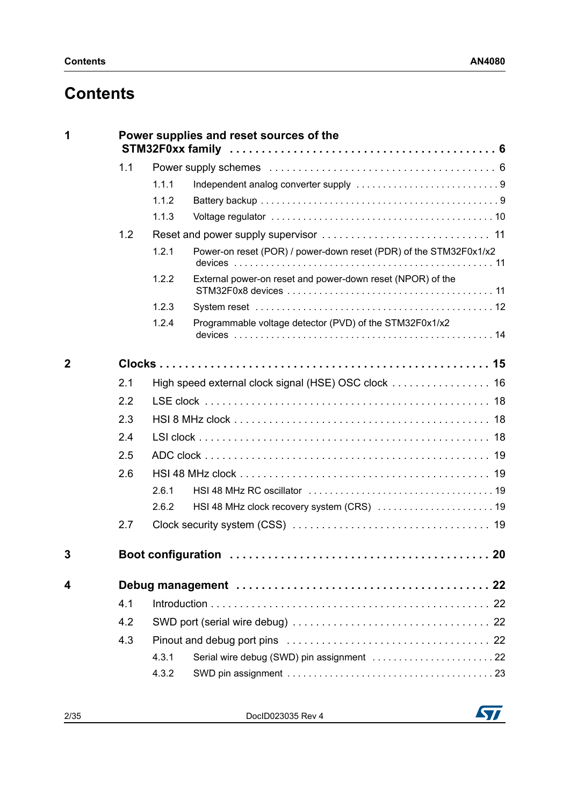# **Contents**

|              | Power supplies and reset sources of the                           |  |  |  |  |  |
|--------------|-------------------------------------------------------------------|--|--|--|--|--|
| 1.1          |                                                                   |  |  |  |  |  |
| 1.1.1        |                                                                   |  |  |  |  |  |
| 1.1.2        |                                                                   |  |  |  |  |  |
| 1.1.3        |                                                                   |  |  |  |  |  |
| 1.2          |                                                                   |  |  |  |  |  |
| 1.2.1        | Power-on reset (POR) / power-down reset (PDR) of the STM32F0x1/x2 |  |  |  |  |  |
| 1.2.2        | External power-on reset and power-down reset (NPOR) of the        |  |  |  |  |  |
| 1.2.3        |                                                                   |  |  |  |  |  |
| 1.2.4        | Programmable voltage detector (PVD) of the STM32F0x1/x2           |  |  |  |  |  |
| $\mathbf{2}$ |                                                                   |  |  |  |  |  |
| 2.1          |                                                                   |  |  |  |  |  |
| 2.2          |                                                                   |  |  |  |  |  |
| 2.3          |                                                                   |  |  |  |  |  |
| 2.4          |                                                                   |  |  |  |  |  |
| 2.5          |                                                                   |  |  |  |  |  |
| 2.6          |                                                                   |  |  |  |  |  |
| 2.6.1        |                                                                   |  |  |  |  |  |
| 2.6.2        |                                                                   |  |  |  |  |  |
|              |                                                                   |  |  |  |  |  |
| 2.7          |                                                                   |  |  |  |  |  |
| 3            | 20                                                                |  |  |  |  |  |
| 4            |                                                                   |  |  |  |  |  |
| 4.1          |                                                                   |  |  |  |  |  |
| 4.2          |                                                                   |  |  |  |  |  |
| 4.3          |                                                                   |  |  |  |  |  |
| 4.3.1        |                                                                   |  |  |  |  |  |

2/[35](#page-34-0) DocID023035 Rev 4

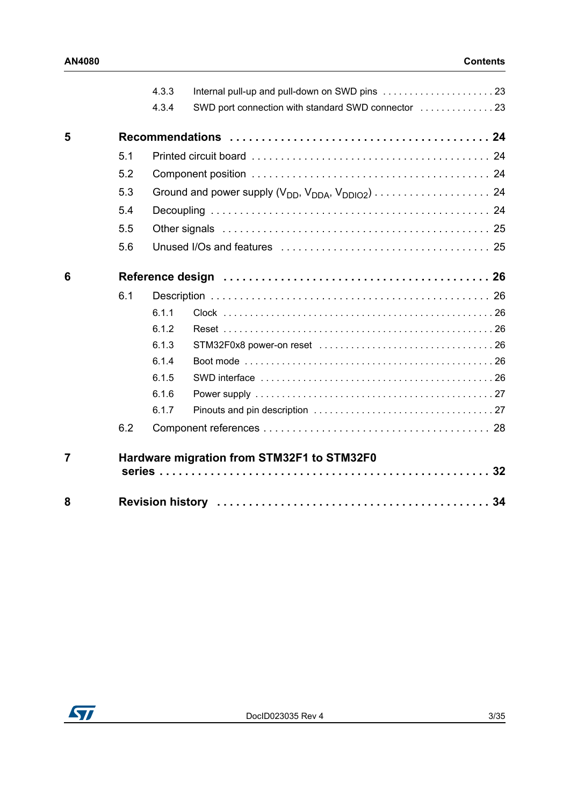|                |     | 4.3.3 |                                                     |    |
|----------------|-----|-------|-----------------------------------------------------|----|
|                |     | 4.3.4 | SWD port connection with standard SWD connector  23 |    |
| 5              |     |       |                                                     |    |
|                | 5.1 |       |                                                     |    |
|                | 5.2 |       |                                                     |    |
|                | 5.3 |       |                                                     |    |
|                | 5.4 |       |                                                     |    |
|                | 5.5 |       |                                                     |    |
|                | 5.6 |       |                                                     |    |
| 6              |     |       |                                                     |    |
|                | 6.1 |       |                                                     |    |
|                |     | 6.1.1 |                                                     |    |
|                |     | 6.1.2 |                                                     |    |
|                |     | 6.1.3 |                                                     |    |
|                |     | 6.1.4 |                                                     |    |
|                |     | 6.1.5 |                                                     |    |
|                |     | 6.1.6 |                                                     |    |
|                |     | 6.1.7 |                                                     |    |
|                | 6.2 |       |                                                     |    |
| $\overline{7}$ |     |       | Hardware migration from STM32F1 to STM32F0          | 32 |
| 8              |     |       |                                                     |    |

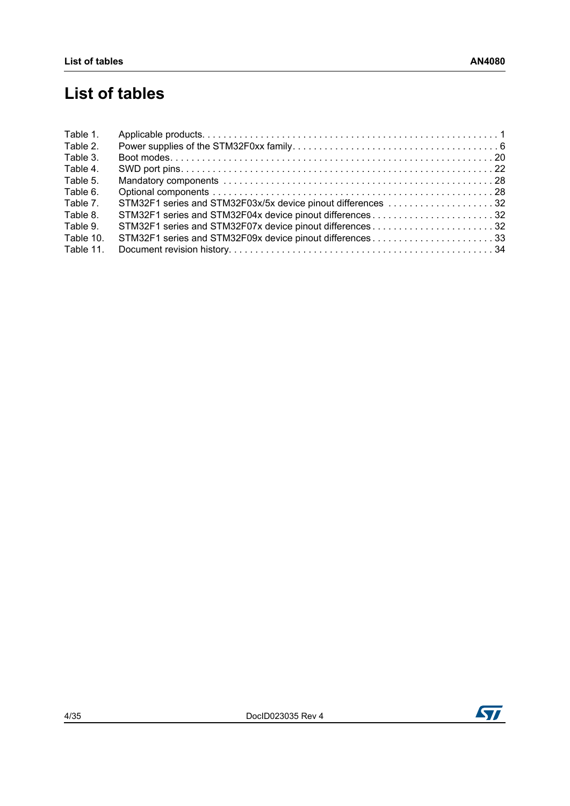# **List of tables**

| Table 1.  |                                                              |  |
|-----------|--------------------------------------------------------------|--|
| Table 2.  |                                                              |  |
| Table 3.  |                                                              |  |
| Table 4.  |                                                              |  |
| Table 5.  |                                                              |  |
| Table 6.  |                                                              |  |
| Table 7.  | STM32F1 series and STM32F03x/5x device pinout differences 32 |  |
| Table 8.  | STM32F1 series and STM32F04x device pinout differences32     |  |
| Table 9.  | STM32F1 series and STM32F07x device pinout differences32     |  |
| Table 10. | STM32F1 series and STM32F09x device pinout differences33     |  |
| Table 11. |                                                              |  |

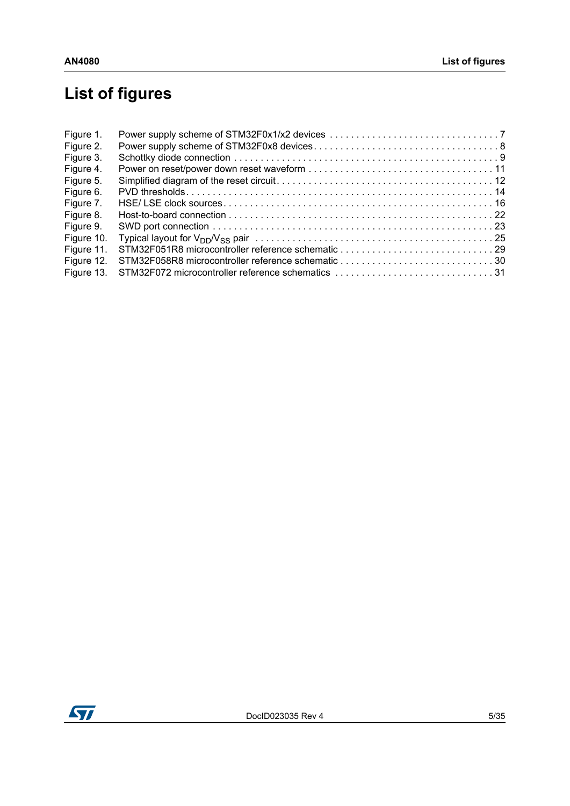# **List of figures**

| Figure 1.  |  |
|------------|--|
| Figure 2.  |  |
| Figure 3.  |  |
| Figure 4.  |  |
| Figure 5.  |  |
| Figure 6.  |  |
| Figure 7.  |  |
| Figure 8.  |  |
| Figure 9.  |  |
| Figure 10. |  |
| Figure 11. |  |
| Figure 12. |  |
| Figure 13. |  |
|            |  |

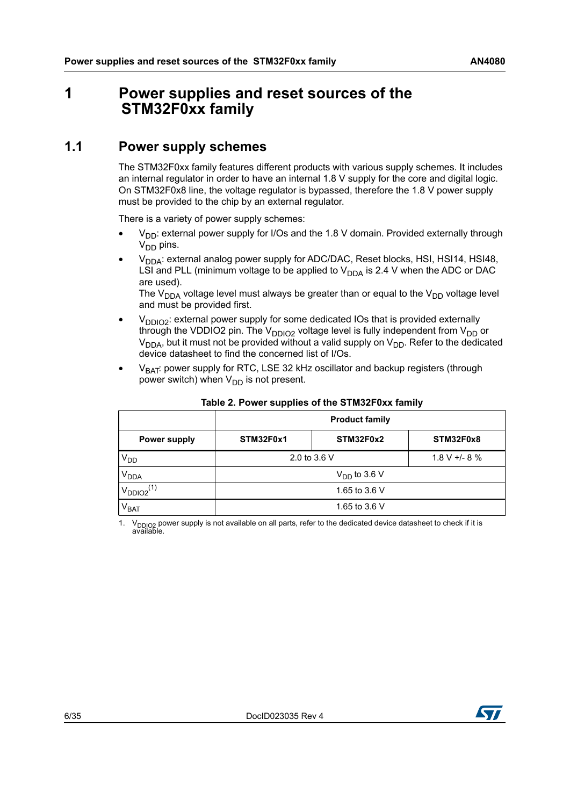## <span id="page-5-0"></span>**1 Power supplies and reset sources of the STM32F0xx family**

## <span id="page-5-1"></span>**1.1 Power supply schemes**

The STM32F0xx family features different products with various supply schemes. It includes an internal regulator in order to have an internal 1.8 V supply for the core and digital logic. On STM32F0x8 line, the voltage regulator is bypassed, therefore the 1.8 V power supply must be provided to the chip by an external regulator.

There is a variety of power supply schemes:

- $V_{DD}$ : external power supply for I/Os and the 1.8 V domain. Provided externally through  $V_{DD}$  pins.
- $V<sub>DDA</sub>$ : external analog power supply for ADC/DAC, Reset blocks, HSI, HSI14, HSI48, LSI and PLL (minimum voltage to be applied to  $V_{DDA}$  is 2.4 V when the ADC or DAC are used).

The  $V_{DDA}$  voltage level must always be greater than or equal to the  $V_{DD}$  voltage level and must be provided first.

- $V_{DDIO2}$ : external power supply for some dedicated IOs that is provided externally through the VDDIO2 pin. The  $V_{DDIO2}$  voltage level is fully independent from  $V_{DD}$  or  $V_{DDA}$ , but it must not be provided without a valid supply on  $V_{DD}$ . Refer to the dedicated device datasheet to find the concerned list of I/Os.
- $V_{BAT}$ : power supply for RTC, LSE 32 kHz oscillator and backup registers (through power switch) when  $V_{DD}$  is not present.

<span id="page-5-2"></span>

|                            | <b>Product family</b>            |           |           |  |  |
|----------------------------|----------------------------------|-----------|-----------|--|--|
| Power supply               | STM32F0x1                        | STM32F0x2 | STM32F0x8 |  |  |
| V <sub>DD</sub>            | $1.8 V + - 8 \%$<br>2.0 to 3.6 V |           |           |  |  |
| V <sub>DDA</sub>           | $V_{DD}$ to 3.6 V                |           |           |  |  |
| $V_{DDIO2}$ <sup>(1)</sup> | 1.65 to 3.6 V                    |           |           |  |  |
| $\rm V_{BAT}$              | 1.65 to 3.6 V                    |           |           |  |  |

#### **Table 2. Power supplies of the STM32F0xx family**

1.  $V_{DDIO2}$  power supply is not available on all parts, refer to the dedicated device datasheet to check if it is available.

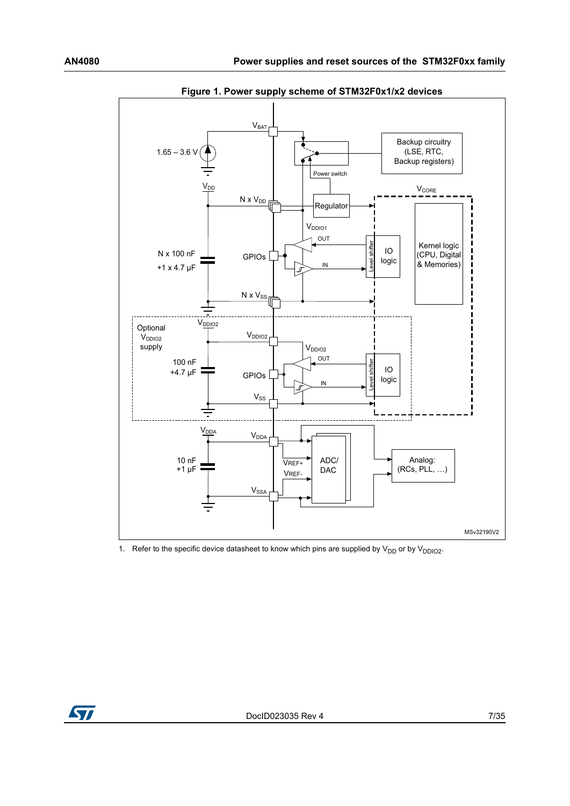<span id="page-6-0"></span>

**Figure 1. Power supply scheme of STM32F0x1/x2 devices**

1. Refer to the specific device datasheet to know which pins are supplied by  $V_{DD}$  or by  $V_{DDIO2}$ .

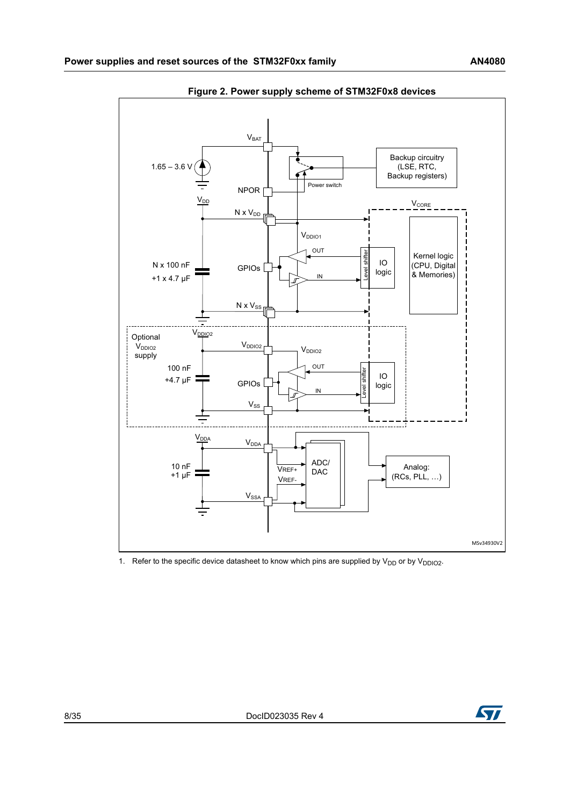<span id="page-7-0"></span>

**Figure 2. Power supply scheme of STM32F0x8 devices**

1. Refer to the specific device datasheet to know which pins are supplied by  $V_{DD}$  or by  $V_{DDIO2}$ .

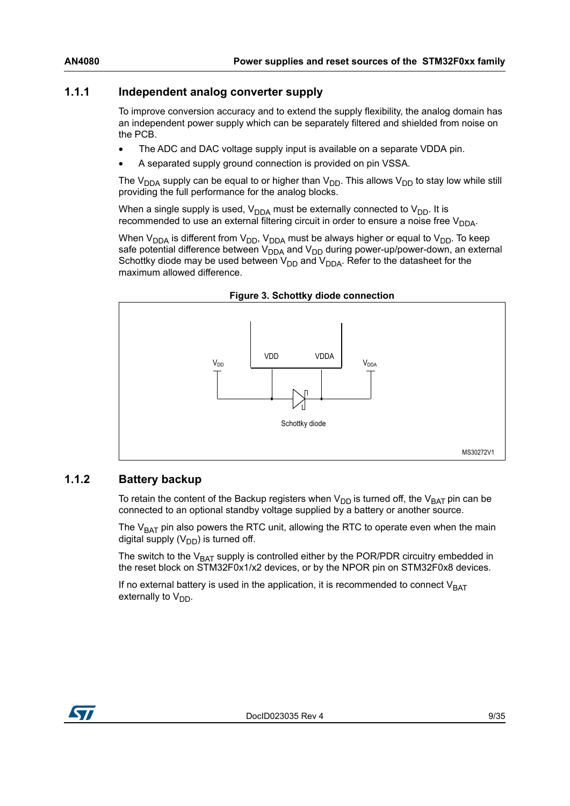### <span id="page-8-0"></span>**1.1.1 Independent analog converter supply**

To improve conversion accuracy and to extend the supply flexibility, the analog domain has an independent power supply which can be separately filtered and shielded from noise on the PCB.

- The ADC and DAC voltage supply input is available on a separate VDDA pin.
- A separated supply ground connection is provided on pin VSSA.

The V<sub>DDA</sub> supply can be equal to or higher than V<sub>DD</sub>. This allows V<sub>DD</sub> to stay low while still providing the full performance for the analog blocks.

When a single supply is used,  $V_{DDA}$  must be externally connected to  $V_{DD}$ . It is recommended to use an external filtering circuit in order to ensure a noise free  $V_{DDA}$ .

When  $V_{DDA}$  is different from  $V_{DD}$ ,  $V_{DDA}$  must be always higher or equal to  $V_{DD}$ . To keep safe potential difference between  $V_{DDA}$  and  $V_{DD}$  during power-up/power-down, an external Schottky diode may be used between  $V_{DD}$  and  $V_{DDA}$ . Refer to the datasheet for the maximum allowed difference.

<span id="page-8-2"></span>

**Figure 3. Schottky diode connection**

### <span id="page-8-1"></span>**1.1.2 Battery backup**

To retain the content of the Backup registers when  $V_{DD}$  is turned off, the  $V_{BAT}$  pin can be connected to an optional standby voltage supplied by a battery or another source.

The  $V<sub>BAT</sub>$  pin also powers the RTC unit, allowing the RTC to operate even when the main digital supply  $(V_{DD})$  is turned off.

The switch to the  $V_{BAT}$  supply is controlled either by the POR/PDR circuitry embedded in the reset block on STM32F0x1/x2 devices, or by the NPOR pin on STM32F0x8 devices.

If no external battery is used in the application, it is recommended to connect  $V_{BAT}$ externally to  $V_{DD}$ .

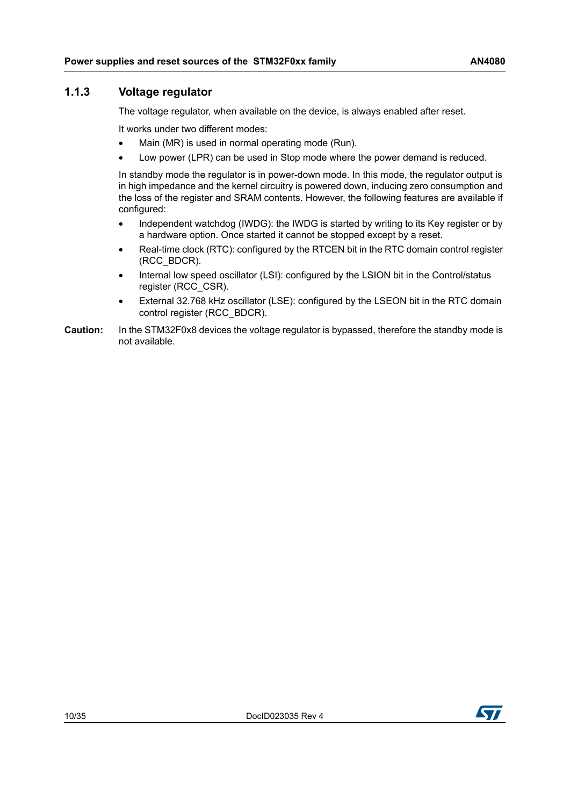### <span id="page-9-0"></span>**1.1.3 Voltage regulator**

The voltage regulator, when available on the device, is always enabled after reset.

It works under two different modes:

- Main (MR) is used in normal operating mode (Run).
- Low power (LPR) can be used in Stop mode where the power demand is reduced.

In standby mode the regulator is in power-down mode. In this mode, the regulator output is in high impedance and the kernel circuitry is powered down, inducing zero consumption and the loss of the register and SRAM contents. However, the following features are available if configured:

- Independent watchdog (IWDG): the IWDG is started by writing to its Key register or by a hardware option. Once started it cannot be stopped except by a reset.
- Real-time clock (RTC): configured by the RTCEN bit in the RTC domain control register (RCC\_BDCR).
- Internal low speed oscillator (LSI): configured by the LSION bit in the Control/status register (RCC\_CSR).
- External 32.768 kHz oscillator (LSE): configured by the LSEON bit in the RTC domain control register (RCC\_BDCR).
- **Caution:** In the STM32F0x8 devices the voltage regulator is bypassed, therefore the standby mode is not available.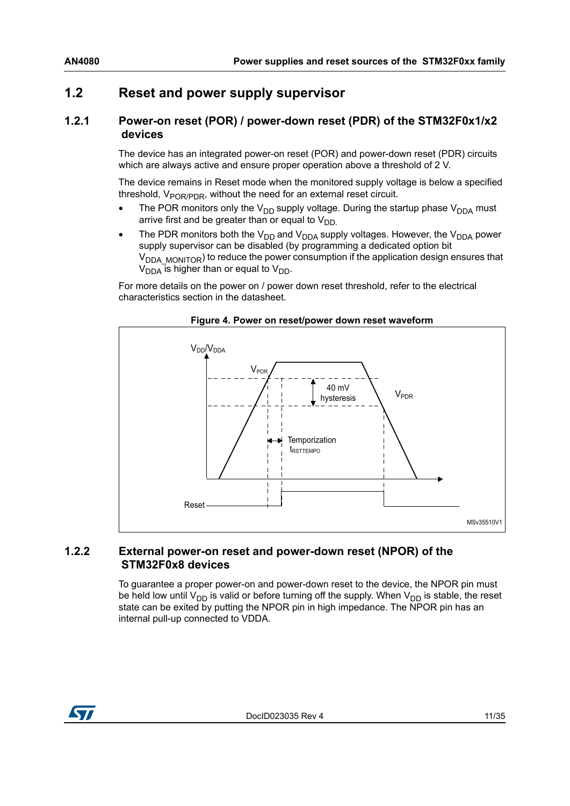## <span id="page-10-0"></span>**1.2 Reset and power supply supervisor**

#### <span id="page-10-1"></span>**1.2.1 Power-on reset (POR) / power-down reset (PDR) of the STM32F0x1/x2 devices**

The device has an integrated power-on reset (POR) and power-down reset (PDR) circuits which are always active and ensure proper operation above a threshold of 2 V.

The device remains in Reset mode when the monitored supply voltage is below a specified threshold,  $V_{\text{POR/PDR}}$ , without the need for an external reset circuit.

- The POR monitors only the  $V_{DD}$  supply voltage. During the startup phase  $V_{DDA}$  must arrive first and be greater than or equal to  $V_{DD}$
- The PDR monitors both the  $V_{DD}$  and  $V_{DDA}$  supply voltages. However, the  $V_{DDA}$  power supply supervisor can be disabled (by programming a dedicated option bit  $V<sub>DDA</sub>$  MONITOR) to reduce the power consumption if the application design ensures that  $V_{DDA}$  is higher than or equal to  $V_{DD}$ .

For more details on the power on / power down reset threshold, refer to the electrical characteristics section in the datasheet.

<span id="page-10-3"></span>

#### **Figure 4. Power on reset/power down reset waveform**

#### <span id="page-10-2"></span>**1.2.2 External power-on reset and power-down reset (NPOR) of the STM32F0x8 devices**

To guarantee a proper power-on and power-down reset to the device, the NPOR pin must be held low until  $V_{DD}$  is valid or before turning off the supply. When  $V_{DD}$  is stable, the reset state can be exited by putting the NPOR pin in high impedance. The NPOR pin has an internal pull-up connected to VDDA.

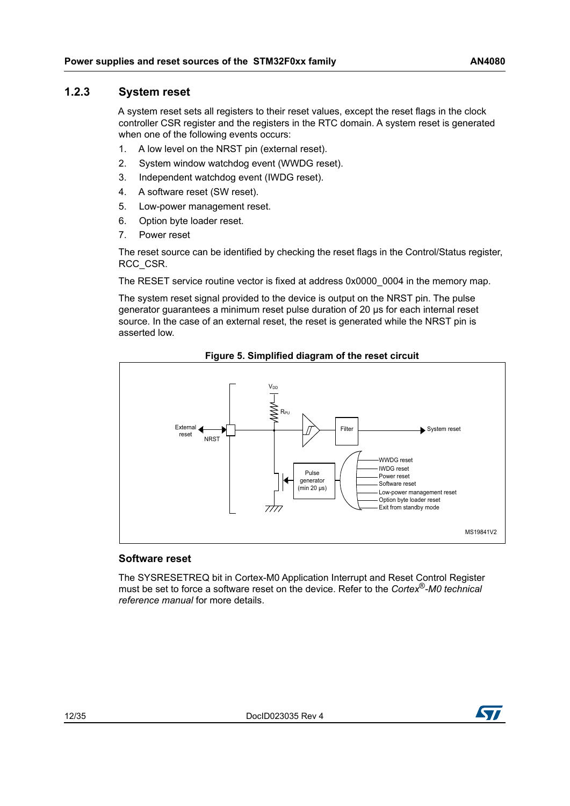#### <span id="page-11-0"></span>**1.2.3 System reset**

A system reset sets all registers to their reset values, except the reset flags in the clock controller CSR register and the registers in the RTC domain. A system reset is generated when one of the following events occurs:

- 1. A low level on the NRST pin (external reset).
- 2. System window watchdog event (WWDG reset).
- 3. Independent watchdog event (IWDG reset).
- 4. A software reset (SW reset).
- 5. Low-power management reset.
- 6. Option byte loader reset.
- 7. Power reset

The reset source can be identified by checking the reset flags in the Control/Status register, RCC\_CSR.

The RESET service routine vector is fixed at address 0x0000 0004 in the memory map.

The system reset signal provided to the device is output on the NRST pin. The pulse generator guarantees a minimum reset pulse duration of 20 μs for each internal reset source. In the case of an external reset, the reset is generated while the NRST pin is asserted low.

<span id="page-11-1"></span>

**Figure 5. Simplified diagram of the reset circuit**

#### **Software reset**

The SYSRESETREQ bit in Cortex-M0 Application Interrupt and Reset Control Register must be set to force a software reset on the device. Refer to the *Cortex*®*-M0 technical reference manual* for more details.

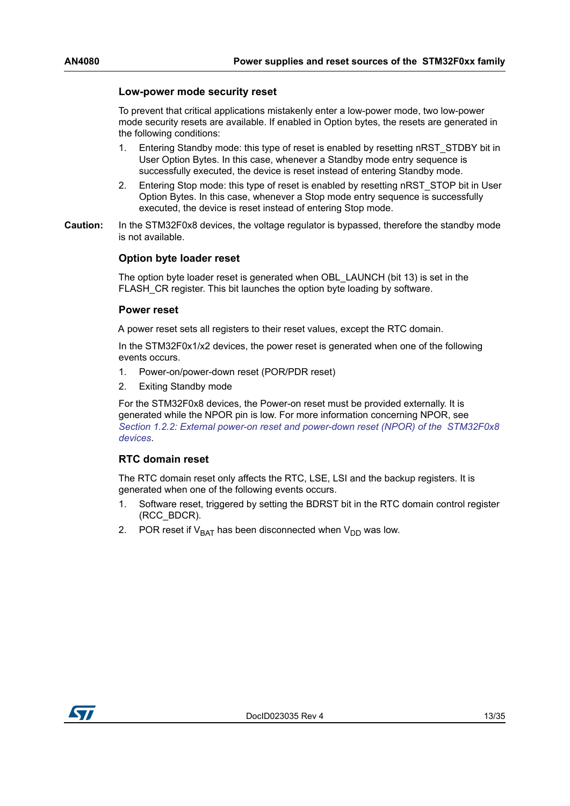#### **Low-power mode security reset**

To prevent that critical applications mistakenly enter a low-power mode, two low-power mode security resets are available. If enabled in Option bytes, the resets are generated in the following conditions:

- 1. Entering Standby mode: this type of reset is enabled by resetting nRST\_STDBY bit in User Option Bytes. In this case, whenever a Standby mode entry sequence is successfully executed, the device is reset instead of entering Standby mode.
- 2. Entering Stop mode: this type of reset is enabled by resetting nRST\_STOP bit in User Option Bytes. In this case, whenever a Stop mode entry sequence is successfully executed, the device is reset instead of entering Stop mode.
- **Caution:** In the STM32F0x8 devices, the voltage regulator is bypassed, therefore the standby mode is not available.

#### **Option byte loader reset**

The option byte loader reset is generated when OBL\_LAUNCH (bit 13) is set in the FLASH CR register. This bit launches the option byte loading by software.

#### **Power reset**

A power reset sets all registers to their reset values, except the RTC domain.

In the STM32F0x1/x2 devices, the power reset is generated when one of the following events occurs.

- 1. Power-on/power-down reset (POR/PDR reset)
- 2. Exiting Standby mode

For the STM32F0x8 devices, the Power-on reset must be provided externally. It is generated while the NPOR pin is low. For more information concerning NPOR, see *Section [1.2.2: External power-on reset and power-down reset \(NPOR\) of the STM32F0x8](#page-10-2)  [devices](#page-10-2)*.

#### **RTC domain reset**

The RTC domain reset only affects the RTC, LSE, LSI and the backup registers. It is generated when one of the following events occurs.

- 1. Software reset, triggered by setting the BDRST bit in the RTC domain control register (RCC\_BDCR).
- 2. POR reset if  $V_{BAT}$  has been disconnected when  $V_{DD}$  was low.

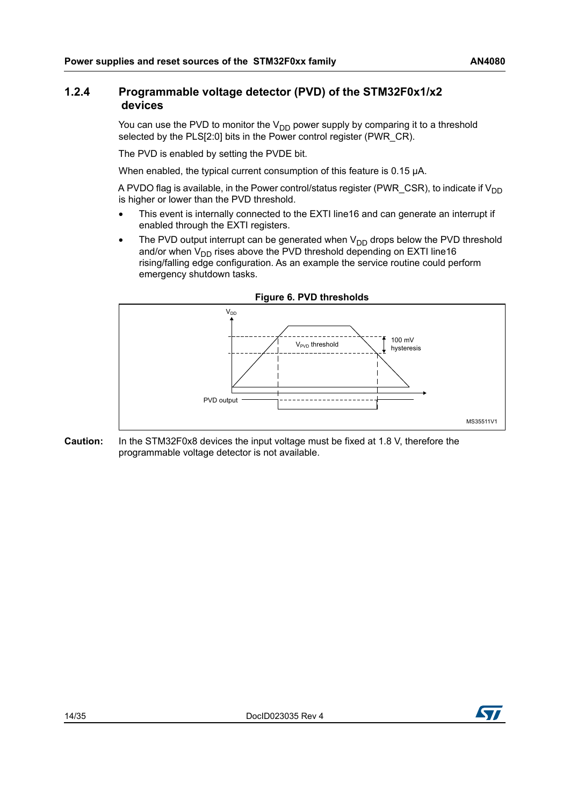### <span id="page-13-0"></span>**1.2.4 Programmable voltage detector (PVD) of the STM32F0x1/x2 devices**

You can use the PVD to monitor the  $V_{DD}$  power supply by comparing it to a threshold selected by the PLS[2:0] bits in the Power control register (PWR\_CR).

The PVD is enabled by setting the PVDE bit.

When enabled, the typical current consumption of this feature is 0.15 μA.

A PVDO flag is available, in the Power control/status register (PWR\_CSR), to indicate if  $V_{DD}$ is higher or lower than the PVD threshold.

- This event is internally connected to the EXTI line16 and can generate an interrupt if enabled through the EXTI registers.
- The PVD output interrupt can be generated when  $V_{DD}$  drops below the PVD threshold and/or when  $V_{DD}$  rises above the PVD threshold depending on EXTI line16 rising/falling edge configuration. As an example the service routine could perform emergency shutdown tasks.

<span id="page-13-1"></span>

#### **Figure 6. PVD thresholds**

**Caution:** In the STM32F0x8 devices the input voltage must be fixed at 1.8 V, therefore the programmable voltage detector is not available.

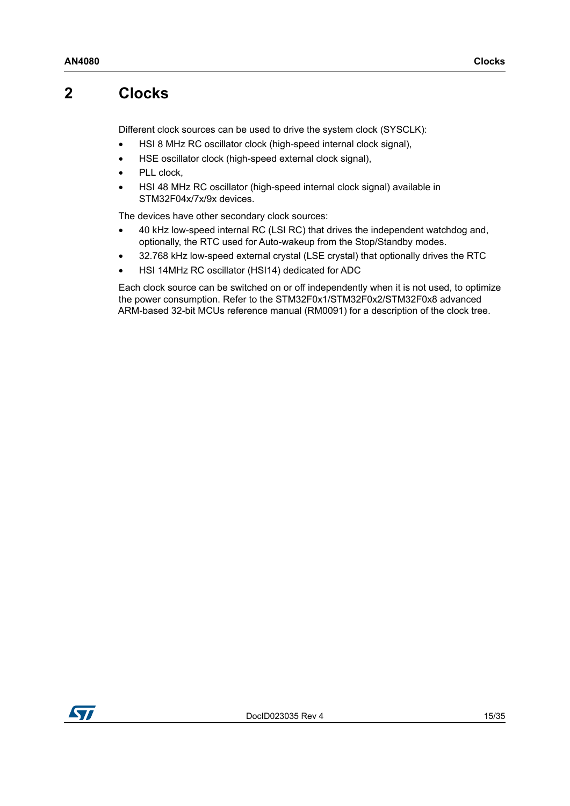## <span id="page-14-0"></span>**2 Clocks**

Different clock sources can be used to drive the system clock (SYSCLK):

- HSI 8 MHz RC oscillator clock (high-speed internal clock signal),
- HSE oscillator clock (high-speed external clock signal),
- PLL clock,
- HSI 48 MHz RC oscillator (high-speed internal clock signal) available in STM32F04x/7x/9x devices.

The devices have other secondary clock sources:

- 40 kHz low-speed internal RC (LSI RC) that drives the independent watchdog and, optionally, the RTC used for Auto-wakeup from the Stop/Standby modes.
- 32.768 kHz low-speed external crystal (LSE crystal) that optionally drives the RTC
- HSI 14MHz RC oscillator (HSI14) dedicated for ADC

Each clock source can be switched on or off independently when it is not used, to optimize the power consumption. Refer to the STM32F0x1/STM32F0x2/STM32F0x8 advanced ARM-based 32-bit MCUs reference manual (RM0091) for a description of the clock tree.

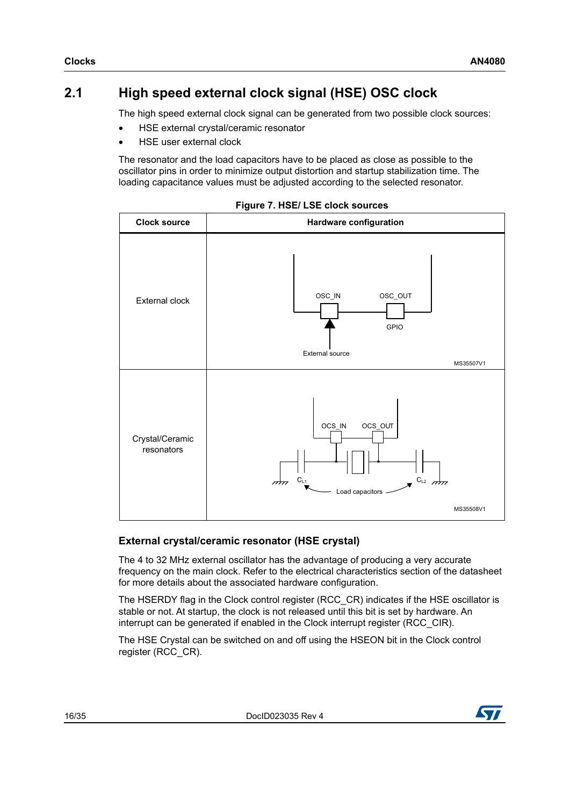## <span id="page-15-0"></span>**2.1 High speed external clock signal (HSE) OSC clock**

The high speed external clock signal can be generated from two possible clock sources:

- HSE external crystal/ceramic resonator
- HSE user external clock

The resonator and the load capacitors have to be placed as close as possible to the oscillator pins in order to minimize output distortion and startup stabilization time. The loading capacitance values must be adjusted according to the selected resonator.

<span id="page-15-1"></span>

|  |  | Figure 7. HSE/ LSE clock sources |
|--|--|----------------------------------|
|  |  |                                  |

### **External crystal/ceramic resonator (HSE crystal)**

The 4 to 32 MHz external oscillator has the advantage of producing a very accurate frequency on the main clock. Refer to the electrical characteristics section of the datasheet for more details about the associated hardware configuration.

The HSERDY flag in the Clock control register (RCC\_CR) indicates if the HSE oscillator is stable or not. At startup, the clock is not released until this bit is set by hardware. An interrupt can be generated if enabled in the Clock interrupt register (RCC\_CIR).

The HSE Crystal can be switched on and off using the HSEON bit in the Clock control register (RCC\_CR).

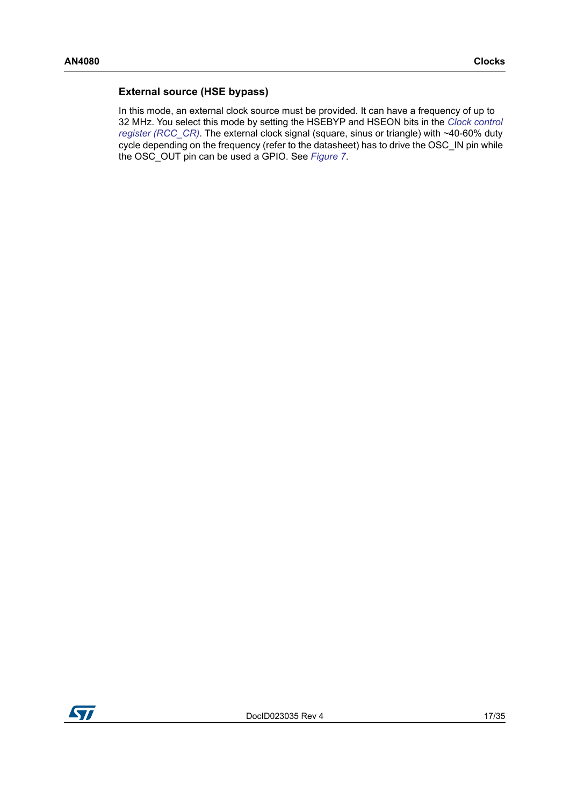#### **External source (HSE bypass)**

In this mode, an external clock source must be provided. It can have a frequency of up to 32 MHz. You select this mode by setting the HSEBYP and HSEON bits in the *Clock control register (RCC\_CR)*. The external clock signal (square, sinus or triangle) with ~40-60% duty cycle depending on the frequency (refer to the datasheet) has to drive the OSC\_IN pin while the OSC\_OUT pin can be used a GPIO. See *[Figure](#page-15-1) 7*.

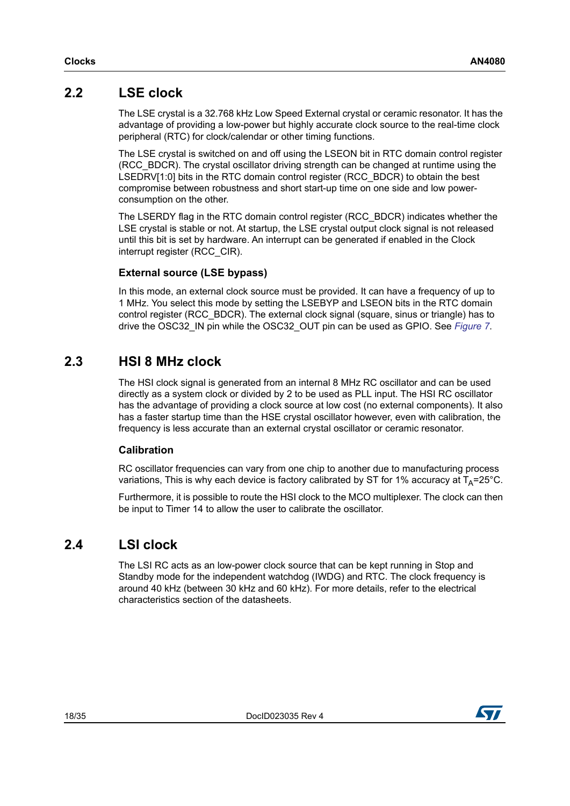## <span id="page-17-0"></span>**2.2 LSE clock**

The LSE crystal is a 32.768 kHz Low Speed External crystal or ceramic resonator. It has the advantage of providing a low-power but highly accurate clock source to the real-time clock peripheral (RTC) for clock/calendar or other timing functions.

The LSE crystal is switched on and off using the LSEON bit in RTC domain control register (RCC\_BDCR). The crystal oscillator driving strength can be changed at runtime using the LSEDRV[1:0] bits in the RTC domain control register (RCC\_BDCR) to obtain the best compromise between robustness and short start-up time on one side and low powerconsumption on the other.

The LSERDY flag in the RTC domain control register (RCC\_BDCR) indicates whether the LSE crystal is stable or not. At startup, the LSE crystal output clock signal is not released until this bit is set by hardware. An interrupt can be generated if enabled in the Clock interrupt register (RCC\_CIR).

### **External source (LSE bypass)**

In this mode, an external clock source must be provided. It can have a frequency of up to 1 MHz. You select this mode by setting the LSEBYP and LSEON bits in the RTC domain control register (RCC\_BDCR). The external clock signal (square, sinus or triangle) has to drive the OSC32\_IN pin while the OSC32\_OUT pin can be used as GPIO. See *[Figure](#page-15-1) 7*.

## <span id="page-17-1"></span>**2.3 HSI 8 MHz clock**

The HSI clock signal is generated from an internal 8 MHz RC oscillator and can be used directly as a system clock or divided by 2 to be used as PLL input. The HSI RC oscillator has the advantage of providing a clock source at low cost (no external components). It also has a faster startup time than the HSE crystal oscillator however, even with calibration, the frequency is less accurate than an external crystal oscillator or ceramic resonator.

#### **Calibration**

RC oscillator frequencies can vary from one chip to another due to manufacturing process variations. This is why each device is factory calibrated by ST for 1% accuracy at  $T_A=25^{\circ}C$ .

Furthermore, it is possible to route the HSI clock to the MCO multiplexer. The clock can then be input to Timer 14 to allow the user to calibrate the oscillator.

## <span id="page-17-2"></span>**2.4 LSI clock**

The LSI RC acts as an low-power clock source that can be kept running in Stop and Standby mode for the independent watchdog (IWDG) and RTC. The clock frequency is around 40 kHz (between 30 kHz and 60 kHz). For more details, refer to the electrical characteristics section of the datasheets.

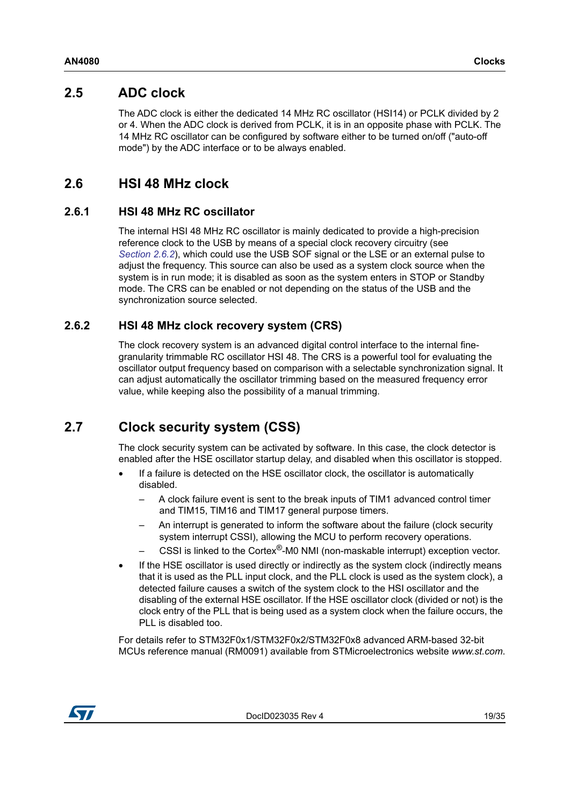## <span id="page-18-0"></span>**2.5 ADC clock**

The ADC clock is either the dedicated 14 MHz RC oscillator (HSI14) or PCLK divided by 2 or 4. When the ADC clock is derived from PCLK, it is in an opposite phase with PCLK. The 14 MHz RC oscillator can be configured by software either to be turned on/off ("auto-off mode") by the ADC interface or to be always enabled.

## <span id="page-18-1"></span>**2.6 HSI 48 MHz clock**

### <span id="page-18-2"></span>**2.6.1 HSI 48 MHz RC oscillator**

The internal HSI 48 MHz RC oscillator is mainly dedicated to provide a high-precision reference clock to the USB by means of a special clock recovery circuitry (see *[Section](#page-18-3) 2.6.2*), which could use the USB SOF signal or the LSE or an external pulse to adjust the frequency. This source can also be used as a system clock source when the system is in run mode; it is disabled as soon as the system enters in STOP or Standby mode. The CRS can be enabled or not depending on the status of the USB and the synchronization source selected.

### <span id="page-18-3"></span>**2.6.2 HSI 48 MHz clock recovery system (CRS)**

The clock recovery system is an advanced digital control interface to the internal finegranularity trimmable RC oscillator HSI 48. The CRS is a powerful tool for evaluating the oscillator output frequency based on comparison with a selectable synchronization signal. It can adjust automatically the oscillator trimming based on the measured frequency error value, while keeping also the possibility of a manual trimming.

## <span id="page-18-4"></span>**2.7 Clock security system (CSS)**

The clock security system can be activated by software. In this case, the clock detector is enabled after the HSE oscillator startup delay, and disabled when this oscillator is stopped.

- If a failure is detected on the HSE oscillator clock, the oscillator is automatically disabled.
	- A clock failure event is sent to the break inputs of TIM1 advanced control timer and TIM15, TIM16 and TIM17 general purpose timers.
	- An interrupt is generated to inform the software about the failure (clock security system interrupt CSSI), allowing the MCU to perform recovery operations.
	- CSSI is linked to the Cortex®-M0 NMI (non-maskable interrupt) exception vector.
- If the HSE oscillator is used directly or indirectly as the system clock (indirectly means that it is used as the PLL input clock, and the PLL clock is used as the system clock), a detected failure causes a switch of the system clock to the HSI oscillator and the disabling of the external HSE oscillator. If the HSE oscillator clock (divided or not) is the clock entry of the PLL that is being used as a system clock when the failure occurs, the PLL is disabled too.

For details refer to STM32F0x1/STM32F0x2/STM32F0x8 advanced ARM-based 32-bit MCUs reference manual (RM0091) available from STMicroelectronics website *www.st.com*.

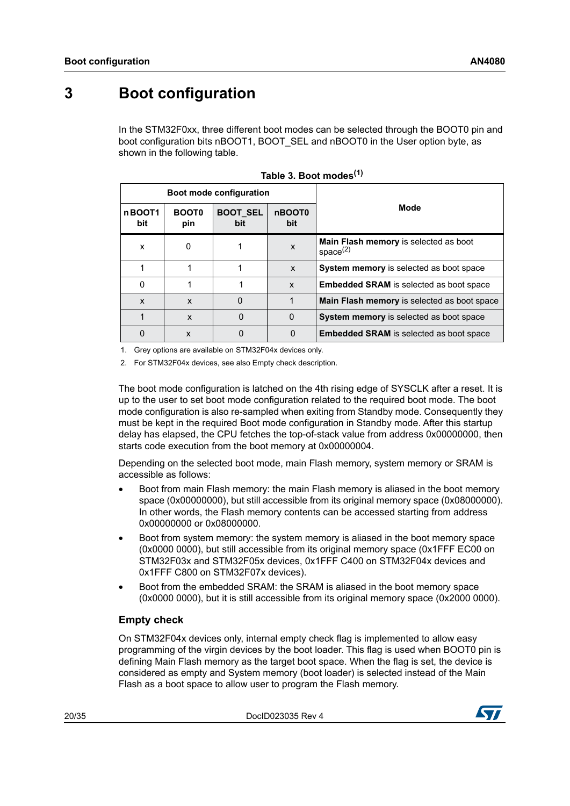# <span id="page-19-0"></span>**3 Boot configuration**

In the STM32F0xx, three different boot modes can be selected through the BOOT0 pin and boot configuration bits nBOOT1, BOOT\_SEL and nBOOT0 in the User option byte, as shown in the following table.

<span id="page-19-1"></span>

| <b>Boot mode configuration</b> |                     |                        |                           |                                                      |
|--------------------------------|---------------------|------------------------|---------------------------|------------------------------------------------------|
| nBOOT1<br>bit                  | <b>BOOT0</b><br>pin | <b>BOOT SEL</b><br>bit | nBOOT0<br>bit             | Mode                                                 |
| X                              | $\Omega$            |                        | X                         | Main Flash memory is selected as boot<br>space $(2)$ |
|                                |                     |                        | $\boldsymbol{\mathsf{x}}$ | System memory is selected as boot space              |
| $\Omega$                       |                     |                        | $\mathsf{x}$              | <b>Embedded SRAM</b> is selected as boot space       |
| X                              | $\mathbf{x}$        | 0                      |                           | Main Flash memory is selected as boot space          |
|                                | $\mathbf{x}$        | 0                      | 0                         | System memory is selected as boot space              |
| 0                              | X                   | ი                      | 0                         | <b>Embedded SRAM</b> is selected as boot space       |

|  |  |  | Table 3. Boot modes <sup>(1)</sup> |  |
|--|--|--|------------------------------------|--|
|--|--|--|------------------------------------|--|

1. Grey options are available on STM32F04x devices only.

2. For STM32F04x devices, see also Empty check description.

The boot mode configuration is latched on the 4th rising edge of SYSCLK after a reset. It is up to the user to set boot mode configuration related to the required boot mode. The boot mode configuration is also re-sampled when exiting from Standby mode. Consequently they must be kept in the required Boot mode configuration in Standby mode. After this startup delay has elapsed, the CPU fetches the top-of-stack value from address 0x00000000, then starts code execution from the boot memory at 0x00000004.

Depending on the selected boot mode, main Flash memory, system memory or SRAM is accessible as follows:

- Boot from main Flash memory: the main Flash memory is aliased in the boot memory space (0x00000000), but still accessible from its original memory space (0x08000000). In other words, the Flash memory contents can be accessed starting from address 0x00000000 or 0x08000000.
- Boot from system memory: the system memory is aliased in the boot memory space (0x0000 0000), but still accessible from its original memory space (0x1FFF EC00 on STM32F03x and STM32F05x devices, 0x1FFF C400 on STM32F04x devices and 0x1FFF C800 on STM32F07x devices).
- Boot from the embedded SRAM: the SRAM is aliased in the boot memory space (0x0000 0000), but it is still accessible from its original memory space (0x2000 0000).

### **Empty check**

On STM32F04x devices only, internal empty check flag is implemented to allow easy programming of the virgin devices by the boot loader. This flag is used when BOOT0 pin is defining Main Flash memory as the target boot space. When the flag is set, the device is considered as empty and System memory (boot loader) is selected instead of the Main Flash as a boot space to allow user to program the Flash memory.

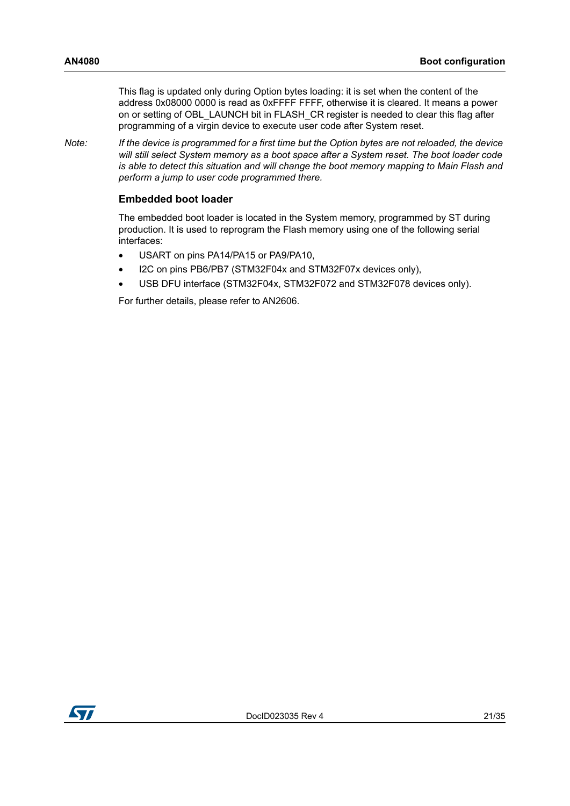This flag is updated only during Option bytes loading: it is set when the content of the address 0x08000 0000 is read as 0xFFFF FFFF, otherwise it is cleared. It means a power on or setting of OBL\_LAUNCH bit in FLASH\_CR register is needed to clear this flag after programming of a virgin device to execute user code after System reset.

*Note: If the device is programmed for a first time but the Option bytes are not reloaded, the device will still select System memory as a boot space after a System reset. The boot loader code is able to detect this situation and will change the boot memory mapping to Main Flash and perform a jump to user code programmed there.*

#### **Embedded boot loader**

The embedded boot loader is located in the System memory, programmed by ST during production. It is used to reprogram the Flash memory using one of the following serial interfaces:

- USART on pins PA14/PA15 or PA9/PA10,
- I2C on pins PB6/PB7 (STM32F04x and STM32F07x devices only),
- USB DFU interface (STM32F04x, STM32F072 and STM32F078 devices only).

For further details, please refer to AN2606.

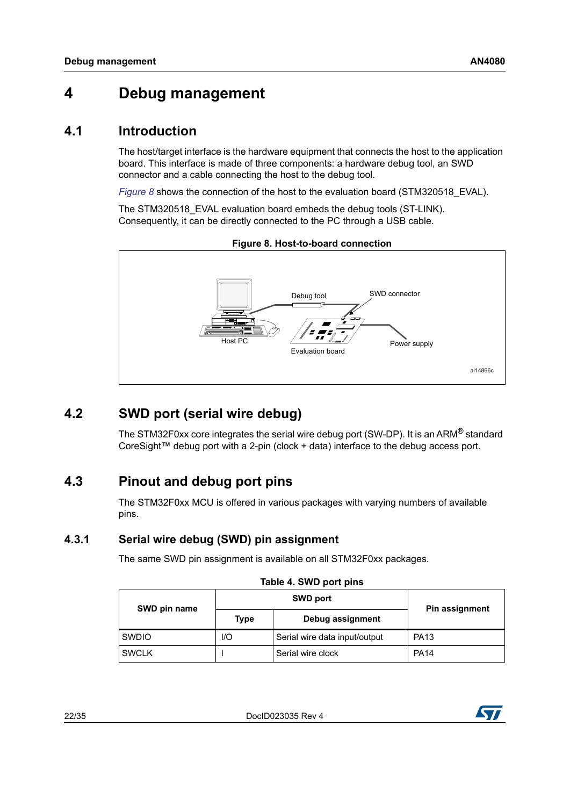## <span id="page-21-0"></span>**4 Debug management**

## <span id="page-21-1"></span>**4.1 Introduction**

The host/target interface is the hardware equipment that connects the host to the application board. This interface is made of three components: a hardware debug tool, an SWD connector and a cable connecting the host to the debug tool.

*[Figure](#page-21-6)* 8 shows the connection of the host to the evaluation board (STM320518\_EVAL).

The STM320518\_EVAL evaluation board embeds the debug tools (ST-LINK). Consequently, it can be directly connected to the PC through a USB cable.

<span id="page-21-6"></span>

**Figure 8. Host-to-board connection**

## <span id="page-21-2"></span>**4.2 SWD port (serial wire debug)**

The STM32F0xx core integrates the serial wire debug port (SW-DP). It is an ARM<sup>®</sup> standard CoreSight™ debug port with a 2-pin (clock + data) interface to the debug access port.

## <span id="page-21-3"></span>**4.3 Pinout and debug port pins**

The STM32F0xx MCU is offered in various packages with varying numbers of available pins.

### <span id="page-21-4"></span>**4.3.1 Serial wire debug (SWD) pin assignment**

The same SWD pin assignment is available on all STM32F0xx packages.

<span id="page-21-5"></span>

| SWD pin name |      | <b>SWD port</b>               | Pin assignment |  |
|--------------|------|-------------------------------|----------------|--|
|              | Type | Debug assignment              |                |  |
| <b>SWDIO</b> | 1/O  | Serial wire data input/output | <b>PA13</b>    |  |
| <b>SWCLK</b> |      | Serial wire clock             | <b>PA14</b>    |  |

| Table 4. SWD port pins |  |  |
|------------------------|--|--|
|                        |  |  |



<sup>22/</sup>[35](#page-34-0) DocID023035 Rev 4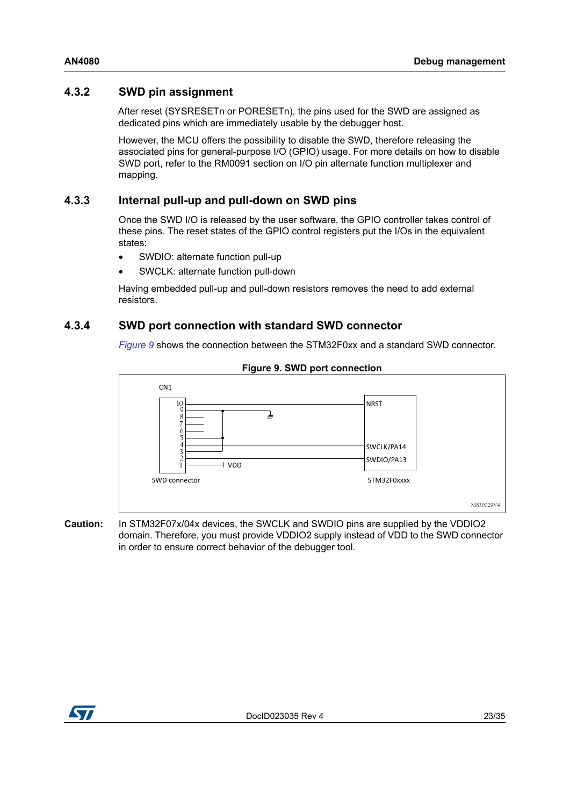### <span id="page-22-0"></span>**4.3.2 SWD pin assignment**

After reset (SYSRESETn or PORESETn), the pins used for the SWD are assigned as dedicated pins which are immediately usable by the debugger host.

However, the MCU offers the possibility to disable the SWD, therefore releasing the associated pins for general-purpose I/O (GPIO) usage. For more details on how to disable SWD port, refer to the RM0091 section on I/O pin alternate function multiplexer and mapping.

#### <span id="page-22-1"></span>**4.3.3 Internal pull-up and pull-down on SWD pins**

Once the SWD I/O is released by the user software, the GPIO controller takes control of these pins. The reset states of the GPIO control registers put the I/Os in the equivalent states:

- SWDIO: alternate function pull-up
- SWCLK: alternate function pull-down

Having embedded pull-up and pull-down resistors removes the need to add external resistors.

#### <span id="page-22-2"></span>**4.3.4 SWD port connection with standard SWD connector**

*[Figure](#page-22-3) 9* shows the connection between the STM32F0xx and a standard SWD connector.

<span id="page-22-3"></span>

#### **Figure 9. SWD port connection**

**Caution:** In STM32F07x/04x devices, the SWCLK and SWDIO pins are supplied by the VDDIO2 domain. Therefore, you must provide VDDIO2 supply instead of VDD to the SWD connector in order to ensure correct behavior of the debugger tool.

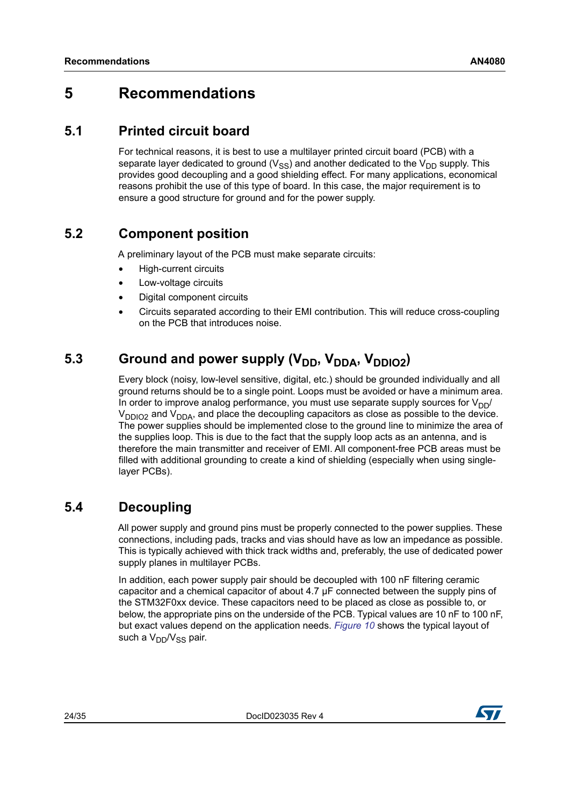## <span id="page-23-0"></span>**5 Recommendations**

## <span id="page-23-1"></span>**5.1 Printed circuit board**

For technical reasons, it is best to use a multilayer printed circuit board (PCB) with a separate layer dedicated to ground  $(V_{SS})$  and another dedicated to the  $V_{DD}$  supply. This provides good decoupling and a good shielding effect. For many applications, economical reasons prohibit the use of this type of board. In this case, the major requirement is to ensure a good structure for ground and for the power supply.

## <span id="page-23-2"></span>**5.2 Component position**

A preliminary layout of the PCB must make separate circuits:

- High-current circuits
- Low-voltage circuits
- Digital component circuits
- Circuits separated according to their EMI contribution. This will reduce cross-coupling on the PCB that introduces noise.

## <span id="page-23-3"></span>5.3 Ground and power supply (V<sub>DD</sub>, V<sub>DDA</sub>, V<sub>DDIO2</sub>)

Every block (noisy, low-level sensitive, digital, etc.) should be grounded individually and all ground returns should be to a single point. Loops must be avoided or have a minimum area. In order to improve analog performance, you must use separate supply sources for  $V_{DD}/$  $V_{DDIO2}$  and  $V_{DDA}$ , and place the decoupling capacitors as close as possible to the device. The power supplies should be implemented close to the ground line to minimize the area of the supplies loop. This is due to the fact that the supply loop acts as an antenna, and is therefore the main transmitter and receiver of EMI. All component-free PCB areas must be filled with additional grounding to create a kind of shielding (especially when using singlelayer PCBs).

## <span id="page-23-4"></span>**5.4 Decoupling**

All power supply and ground pins must be properly connected to the power supplies. These connections, including pads, tracks and vias should have as low an impedance as possible. This is typically achieved with thick track widths and, preferably, the use of dedicated power supply planes in multilayer PCBs.

In addition, each power supply pair should be decoupled with 100 nF filtering ceramic capacitor and a chemical capacitor of about 4.7 μF connected between the supply pins of the STM32F0xx device. These capacitors need to be placed as close as possible to, or below, the appropriate pins on the underside of the PCB. Typical values are 10 nF to 100 nF, but exact values depend on the application needs. *[Figure](#page-24-2) 10* shows the typical layout of such a  $V_{DD}/V_{SS}$  pair.

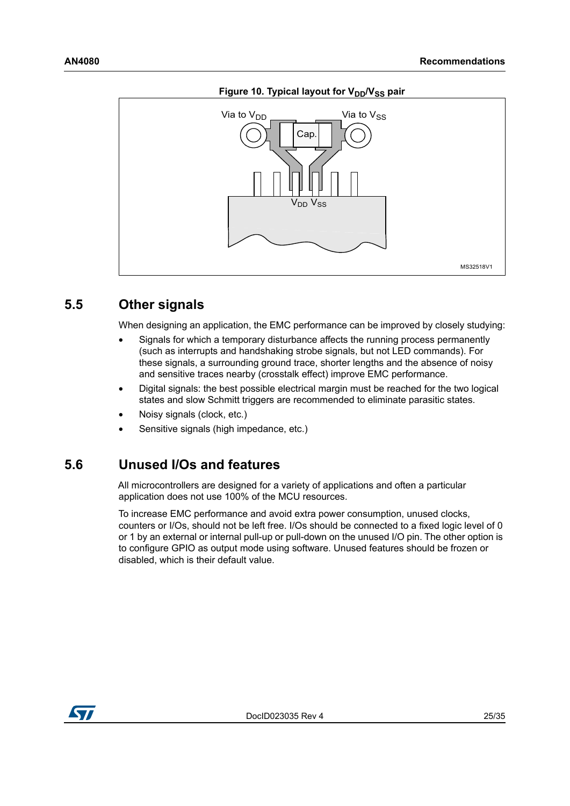<span id="page-24-2"></span>

#### Figure 10. Typical layout for V<sub>DD</sub>/V<sub>SS</sub> pair

### <span id="page-24-0"></span>**5.5 Other signals**

When designing an application, the EMC performance can be improved by closely studying:

- Signals for which a temporary disturbance affects the running process permanently (such as interrupts and handshaking strobe signals, but not LED commands). For these signals, a surrounding ground trace, shorter lengths and the absence of noisy and sensitive traces nearby (crosstalk effect) improve EMC performance.
- Digital signals: the best possible electrical margin must be reached for the two logical states and slow Schmitt triggers are recommended to eliminate parasitic states.
- Noisy signals (clock, etc.)
- Sensitive signals (high impedance, etc.)

### <span id="page-24-1"></span>**5.6 Unused I/Os and features**

All microcontrollers are designed for a variety of applications and often a particular application does not use 100% of the MCU resources.

To increase EMC performance and avoid extra power consumption, unused clocks, counters or I/Os, should not be left free. I/Os should be connected to a fixed logic level of 0 or 1 by an external or internal pull-up or pull-down on the unused I/O pin. The other option is to configure GPIO as output mode using software. Unused features should be frozen or disabled, which is their default value.

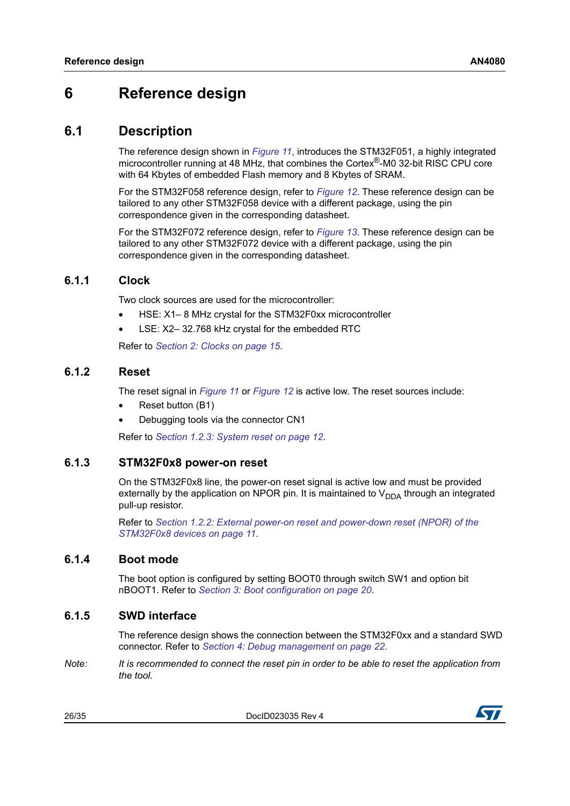## <span id="page-25-0"></span>**6 Reference design**

### <span id="page-25-1"></span>**6.1 Description**

The reference design shown in *[Figure](#page-28-0) 11*, introduces the STM32F051, a highly integrated microcontroller running at 48 MHz, that combines the Cortex®-M0 32-bit RISC CPU core with 64 Kbytes of embedded Flash memory and 8 Kbytes of SRAM.

For the STM32F058 reference design, refer to *[Figure](#page-29-0) 12*. These reference design can be tailored to any other STM32F058 device with a different package, using the pin correspondence given in the corresponding datasheet.

For the STM32F072 reference design, refer to *[Figure](#page-30-0) 13*. These reference design can be tailored to any other STM32F072 device with a different package, using the pin correspondence given in the corresponding datasheet.

### <span id="page-25-2"></span>**6.1.1 Clock**

Two clock sources are used for the microcontroller:

- HSE: X1– 8 MHz crystal for the STM32F0xx microcontroller
- LSE: X2-32.768 kHz crystal for the embedded RTC

Refer to *Section [2: Clocks on page](#page-14-0) 15*.

#### <span id="page-25-3"></span>**6.1.2 Reset**

The reset signal in *[Figure](#page-28-0) 11* or *[Figure](#page-29-0) 12* is active low. The reset sources include:

- Reset button (B1)
- Debugging tools via the connector CN1

Refer to *Section [1.2.3: System reset on page](#page-11-0) 12*.

### <span id="page-25-4"></span>**6.1.3 STM32F0x8 power-on reset**

On the STM32F0x8 line, the power-on reset signal is active low and must be provided externally by the application on NPOR pin. It is maintained to  $V_{DDA}$  through an integrated pull-up resistor.

Refer to *Section [1.2.2: External power-on reset and power-down reset \(NPOR\) of the](#page-10-2)  [STM32F0x8 devices on page](#page-10-2) 11*.

#### <span id="page-25-5"></span>**6.1.4 Boot mode**

The boot option is configured by setting BOOT0 through switch SW1 and option bit nBOOT1. Refer to *Section [3: Boot configuration on page](#page-19-0) 20*.

#### <span id="page-25-6"></span>**6.1.5 SWD interface**

The reference design shows the connection between the STM32F0xx and a standard SWD connector. Refer to *Section [4: Debug management on page](#page-21-0) 22*.

*Note: It is recommended to connect the reset pin in order to be able to reset the application from the tool.*

26/[35](#page-34-0) DocID023035 Rev 4

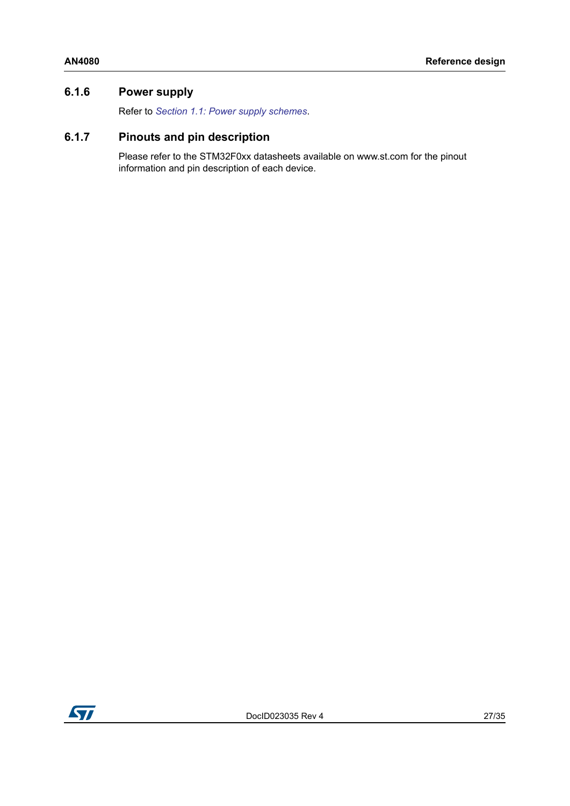### <span id="page-26-0"></span>**6.1.6 Power supply**

Refer to *Section [1.1: Power supply schemes](#page-5-1)*.

## <span id="page-26-1"></span>**6.1.7 Pinouts and pin description**

Please refer to the STM32F0xx datasheets available on www.st.com for the pinout information and pin description of each device.

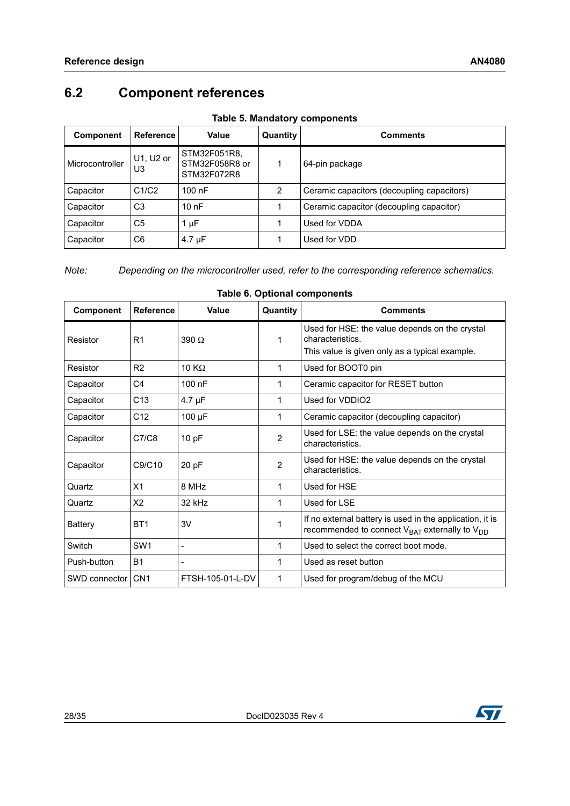## <span id="page-27-0"></span>**6.2 Component references**

<span id="page-27-1"></span>

| <b>Component</b> | <b>Reference</b> | Value                                         | Quantity | <b>Comments</b>                            |
|------------------|------------------|-----------------------------------------------|----------|--------------------------------------------|
| Microcontroller  | U1, U2 or<br>U3  | STM32F051R8.<br>STM32F058R8 or<br>STM32F072R8 |          | 64-pin package                             |
| Capacitor        | C1/C2            | $100$ nF                                      | 2        | Ceramic capacitors (decoupling capacitors) |
| Capacitor        | C3               | 10nF                                          |          | Ceramic capacitor (decoupling capacitor)   |
| Capacitor        | C <sub>5</sub>   | $1 \mu F$                                     |          | Used for VDDA                              |
| Capacitor        | C <sub>6</sub>   | $4.7 \mu F$                                   |          | Used for VDD                               |

**Table 5. Mandatory components**

*Note: Depending on the microcontroller used, refer to the corresponding reference schematics.*

<span id="page-27-2"></span>

| <b>Component</b> | <b>Reference</b> | Value                    | Quantity       | <b>Comments</b>                                                                                                      |
|------------------|------------------|--------------------------|----------------|----------------------------------------------------------------------------------------------------------------------|
| Resistor         | R <sub>1</sub>   | $390 \Omega$             | 1              | Used for HSE: the value depends on the crystal<br>characteristics.<br>This value is given only as a typical example. |
| Resistor         | R <sub>2</sub>   | 10 $K\Omega$             | 1              | Used for BOOT0 pin                                                                                                   |
| Capacitor        | C4               | $100$ nF                 | 1              | Ceramic capacitor for RESET button                                                                                   |
| Capacitor        | C <sub>13</sub>  | $4.7 \mu F$              | 1              | Used for VDDIO2                                                                                                      |
| Capacitor        | C12              | 100 µF                   | 1              | Ceramic capacitor (decoupling capacitor)                                                                             |
| Capacitor        | C7/C8            | 10 pF                    | $\overline{2}$ | Used for LSE: the value depends on the crystal<br>characteristics.                                                   |
| Capacitor        | C9/C10           | 20 pF                    | $\overline{2}$ | Used for HSE: the value depends on the crystal<br>characteristics.                                                   |
| Quartz           | X <sub>1</sub>   | 8 MHz                    | 1              | Used for HSE                                                                                                         |
| Quartz           | X <sub>2</sub>   | 32 kHz                   | 1              | Used for LSE                                                                                                         |
| Battery          | BT <sub>1</sub>  | 3V                       | 1              | If no external battery is used in the application, it is<br>recommended to connect $V_{BAT}$ externally to $V_{DD}$  |
| Switch           | SW <sub>1</sub>  | $\overline{\phantom{a}}$ | 1              | Used to select the correct boot mode.                                                                                |
| Push-button      | <b>B1</b>        |                          | 1              | Used as reset button                                                                                                 |
| SWD connector    | CN <sub>1</sub>  | FTSH-105-01-L-DV         | 1              | Used for program/debug of the MCU                                                                                    |

#### **Table 6. Optional components**

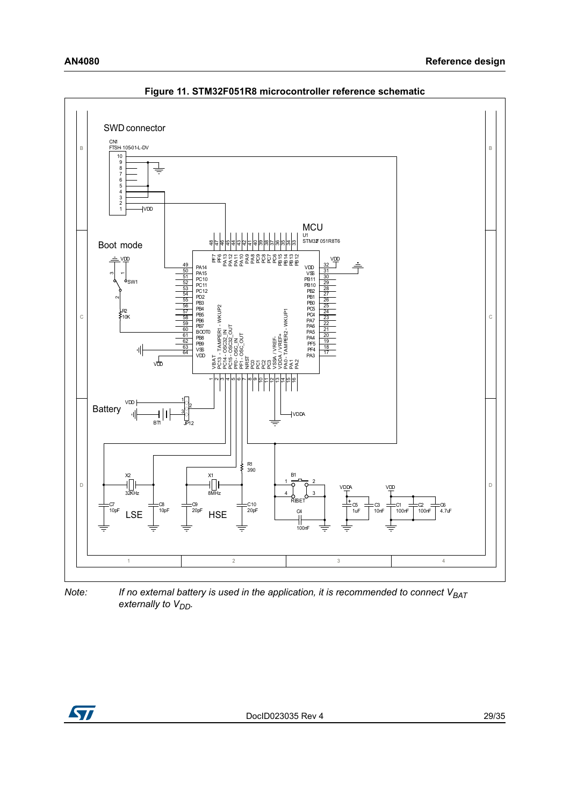<span id="page-28-0"></span>

**Figure 11. STM32F051R8 microcontroller reference schematic**

*Note:* If no external battery is used in the application, it is recommended to connect V<sub>BAT</sub> externally to V<sub>DD</sub>.

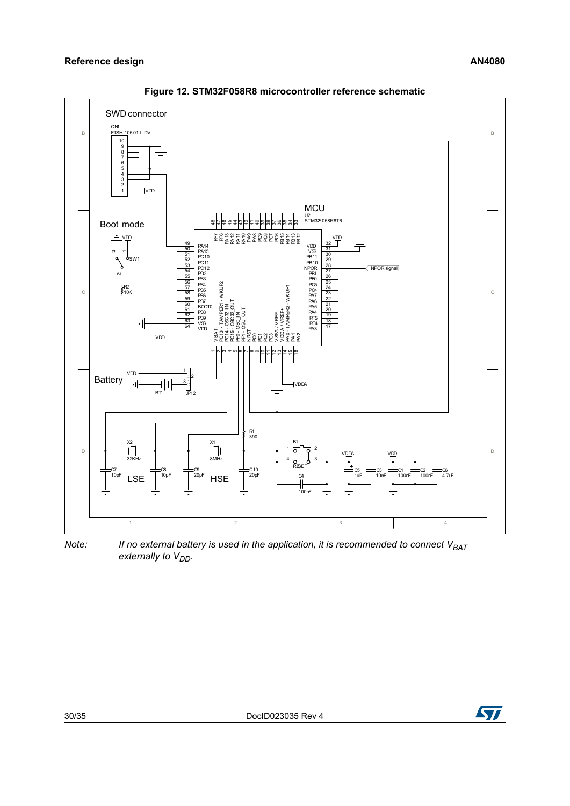<span id="page-29-0"></span>

**Figure 12. STM32F058R8 microcontroller reference schematic**

*Note:* If no external battery is used in the application, it is recommended to connect V<sub>BAT</sub> externally to V<sub>DD</sub>.

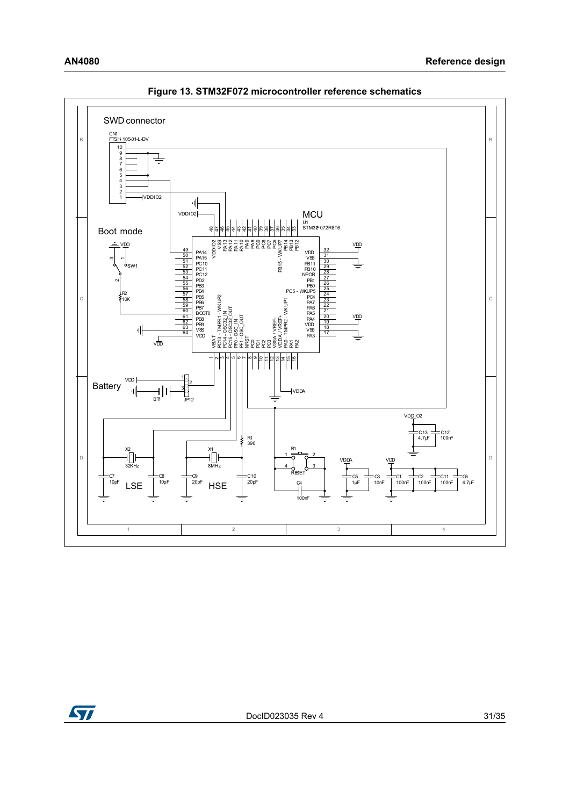<span id="page-30-0"></span>

**Figure 13. STM32F072 microcontroller reference schematics**

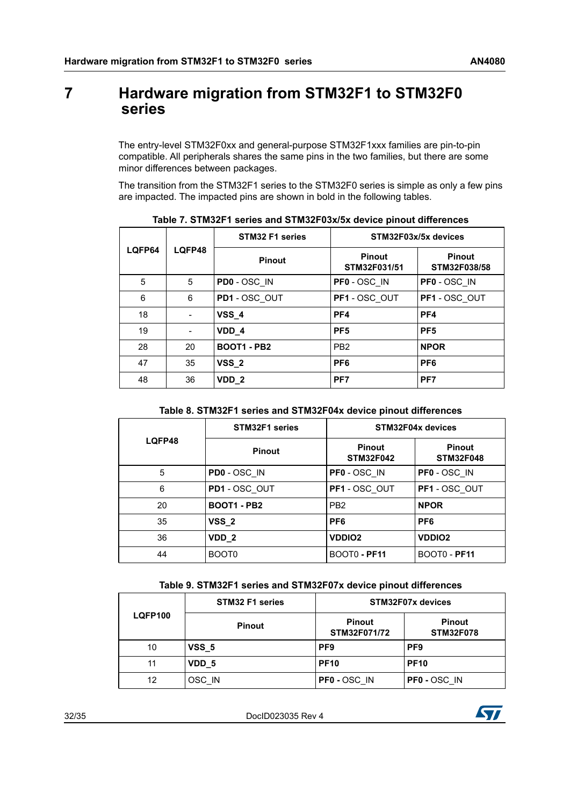## <span id="page-31-0"></span>**7 Hardware migration from STM32F1 to STM32F0 series**

The entry-level STM32F0xx and general-purpose STM32F1xxx families are pin-to-pin compatible. All peripherals shares the same pins in the two families, but there are some minor differences between packages.

The transition from the STM32F1 series to the STM32F0 series is simple as only a few pins are impacted. The impacted pins are shown in bold in the following tables.

<span id="page-31-1"></span>

|        |        | STM32 F1 series    |                               | STM32F03x/5x devices          |
|--------|--------|--------------------|-------------------------------|-------------------------------|
| LQFP64 | LQFP48 | <b>Pinout</b>      | <b>Pinout</b><br>STM32F031/51 | <b>Pinout</b><br>STM32F038/58 |
| 5      | 5      | PD0 - OSC IN       | PF0 - OSC IN                  | PF0 - OSC IN                  |
| 6      | 6      | PD1 - OSC OUT      | PF1 - OSC OUT                 | PF1 - OSC OUT                 |
| 18     |        | $VSS_4$            | PF4                           | PF4                           |
| 19     |        | VDD 4              | PF <sub>5</sub>               | PF <sub>5</sub>               |
| 28     | 20     | <b>BOOT1 - PB2</b> | PB <sub>2</sub>               | <b>NPOR</b>                   |
| 47     | 35     | VSS <sub>2</sub>   | PF <sub>6</sub>               | PF <sub>6</sub>               |
| 48     | 36     | VDD <sub>2</sub>   | PF <sub>7</sub>               | PF <sub>7</sub>               |

**Table 7. STM32F1 series and STM32F03x/5x device pinout differences**

#### **Table 8. STM32F1 series and STM32F04x device pinout differences**

<span id="page-31-2"></span>

|        | STM32F1 series     |                                   | STM32F04x devices                 |
|--------|--------------------|-----------------------------------|-----------------------------------|
| LQFP48 | <b>Pinout</b>      | <b>Pinout</b><br><b>STM32F042</b> | <b>Pinout</b><br><b>STM32F048</b> |
| 5      | PD0 - OSC IN       | PF0 - OSC IN                      | PF0 - OSC IN                      |
| 6      | PD1 - OSC OUT      | PF1 - OSC OUT                     | PF1 - OSC OUT                     |
| 20     | <b>BOOT1 - PB2</b> | PB <sub>2</sub>                   | <b>NPOR</b>                       |
| 35     | <b>VSS 2</b>       | PF <sub>6</sub>                   | PF <sub>6</sub>                   |
| 36     | VDD <sub>2</sub>   | <b>VDDIO2</b>                     | <b>VDDIO2</b>                     |
| 44     | BOOT <sub>0</sub>  | BOOT0 - PF11                      | <b>BOOT0 - PF11</b>               |

| Table 9. STM32F1 series and STM32F07x device pinout differences |
|-----------------------------------------------------------------|
|-----------------------------------------------------------------|

<span id="page-31-3"></span>

|                | <b>STM32 F1 series</b> |                               | STM32F07x devices                 |
|----------------|------------------------|-------------------------------|-----------------------------------|
| <b>LQFP100</b> | <b>Pinout</b>          | <b>Pinout</b><br>STM32F071/72 | <b>Pinout</b><br><b>STM32F078</b> |
| 10             | VSS <sub>5</sub>       | PF <sub>9</sub>               | PF <sub>9</sub>                   |
| 11             | VDD 5                  | <b>PF10</b>                   | <b>PF10</b>                       |
| 12             | OSC IN                 | <b>PF0 - OSC IN</b>           | <b>PF0 - OSC IN</b>               |

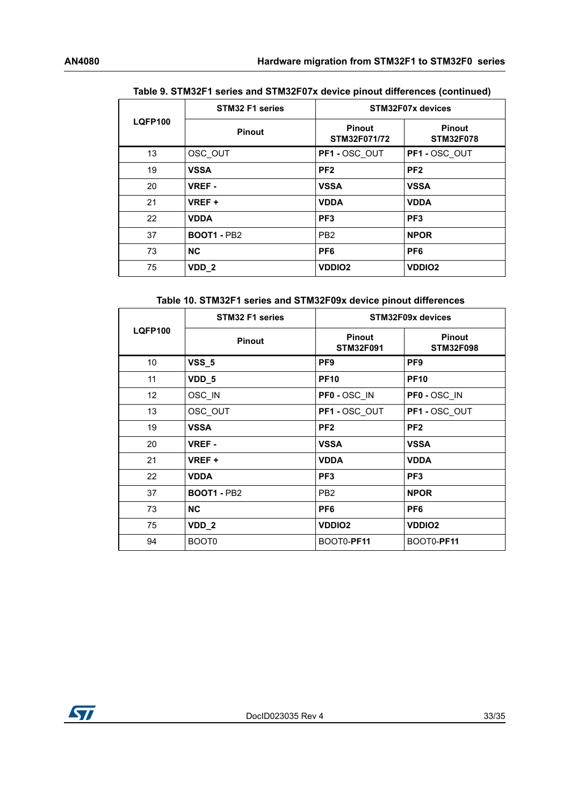|                | STM32 F1 series    |                               | STM32F07x devices                 |
|----------------|--------------------|-------------------------------|-----------------------------------|
| <b>LQFP100</b> | <b>Pinout</b>      | <b>Pinout</b><br>STM32F071/72 | <b>Pinout</b><br><b>STM32F078</b> |
| 13             | OSC OUT            | PF1 - OSC OUT                 | PF1-OSC OUT                       |
| 19             | <b>VSSA</b>        | PF <sub>2</sub>               | PF <sub>2</sub>                   |
| 20             | <b>VREF-</b>       | <b>VSSA</b>                   | <b>VSSA</b>                       |
| 21             | VREF +             | <b>VDDA</b>                   | <b>VDDA</b>                       |
| 22             | <b>VDDA</b>        | PF <sub>3</sub>               | PF <sub>3</sub>                   |
| 37             | <b>BOOT1 - PB2</b> | PB <sub>2</sub>               | <b>NPOR</b>                       |
| 73             | <b>NC</b>          | PF <sub>6</sub>               | PF <sub>6</sub>                   |
| 75             | VDD <sub>2</sub>   | <b>VDDIO2</b>                 | <b>VDDIO2</b>                     |

#### **Table 9. STM32F1 series and STM32F07x device pinout differences (continued)**

#### **Table 10. STM32F1 series and STM32F09x device pinout differences**

<span id="page-32-0"></span>

|                | STM32 F1 series    |                                   | STM32F09x devices                 |
|----------------|--------------------|-----------------------------------|-----------------------------------|
| <b>LQFP100</b> | <b>Pinout</b>      | <b>Pinout</b><br><b>STM32F091</b> | <b>Pinout</b><br><b>STM32F098</b> |
| 10             | <b>VSS_5</b>       | PF <sub>9</sub>                   | PF <sub>9</sub>                   |
| 11             | VDD_5              | <b>PF10</b>                       | <b>PF10</b>                       |
| 12             | OSC IN             | <b>PF0 - OSC IN</b>               | PF0 - OSC_IN                      |
| 13             | OSC OUT            | PF1-OSC OUT                       | PF1-OSC OUT                       |
| 19             | <b>VSSA</b>        | PF <sub>2</sub>                   | PF <sub>2</sub>                   |
| 20             | <b>VREF-</b>       | <b>VSSA</b>                       | <b>VSSA</b>                       |
| 21             | VREF +             | <b>VDDA</b>                       | <b>VDDA</b>                       |
| 22             | <b>VDDA</b>        | PF <sub>3</sub>                   | PF <sub>3</sub>                   |
| 37             | <b>BOOT1 - PB2</b> | PB <sub>2</sub>                   | <b>NPOR</b>                       |
| 73             | <b>NC</b>          | PF <sub>6</sub>                   | PF <sub>6</sub>                   |
| 75             | VDD <sub>_2</sub>  | <b>VDDIO2</b>                     | <b>VDDIO2</b>                     |
| 94             | BOOT <sub>0</sub>  | BOOT0-PF11                        | BOOT0-PF11                        |

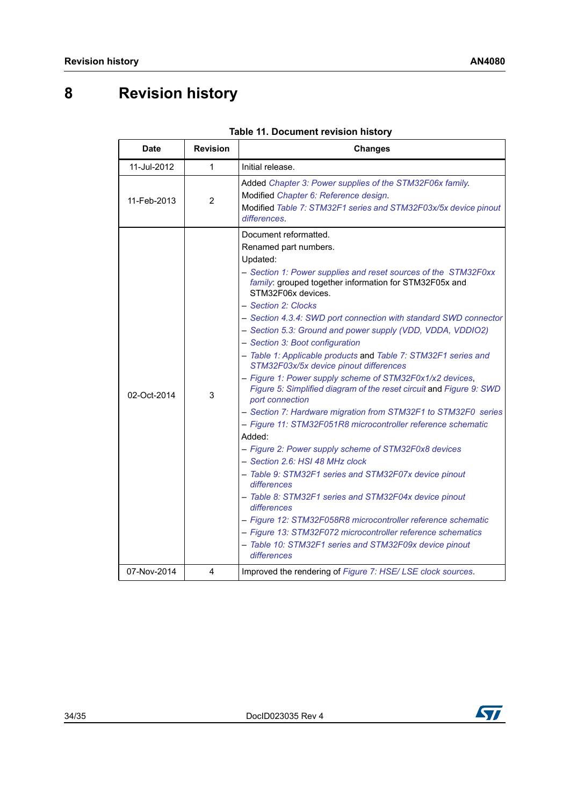# <span id="page-33-0"></span>**8 Revision history**

<span id="page-33-1"></span>

| <b>Date</b>                | <b>Revision</b> | <b>Changes</b>                                                                                                                                                                                                                                                                                                                                                                                                                                                                                                                                                                                                                                                                                                                                                                                                                                                                                                                                                                                                                                                                                                                                                                                                                                                            |
|----------------------------|-----------------|---------------------------------------------------------------------------------------------------------------------------------------------------------------------------------------------------------------------------------------------------------------------------------------------------------------------------------------------------------------------------------------------------------------------------------------------------------------------------------------------------------------------------------------------------------------------------------------------------------------------------------------------------------------------------------------------------------------------------------------------------------------------------------------------------------------------------------------------------------------------------------------------------------------------------------------------------------------------------------------------------------------------------------------------------------------------------------------------------------------------------------------------------------------------------------------------------------------------------------------------------------------------------|
| 11-Jul-2012                | 1               | Initial release.                                                                                                                                                                                                                                                                                                                                                                                                                                                                                                                                                                                                                                                                                                                                                                                                                                                                                                                                                                                                                                                                                                                                                                                                                                                          |
| 11-Feb-2013                | 2               | Added Chapter 3: Power supplies of the STM32F06x family.<br>Modified Chapter 6: Reference design.<br>Modified Table 7: STM32F1 series and STM32F03x/5x device pinout<br>differences.                                                                                                                                                                                                                                                                                                                                                                                                                                                                                                                                                                                                                                                                                                                                                                                                                                                                                                                                                                                                                                                                                      |
| 02-Oct-2014<br>07-Nov-2014 | 3<br>4          | Document reformatted.<br>Renamed part numbers.<br>Updated:<br>- Section 1: Power supplies and reset sources of the STM32F0xx<br>family: grouped together information for STM32F05x and<br>STM32F06x devices.<br>- Section 2: Clocks<br>- Section 4.3.4: SWD port connection with standard SWD connector<br>- Section 5.3: Ground and power supply (VDD, VDDA, VDDIO2)<br>- Section 3: Boot configuration<br>- Table 1: Applicable products and Table 7: STM32F1 series and<br>STM32F03x/5x device pinout differences<br>- Figure 1: Power supply scheme of STM32F0x1/x2 devices,<br>Figure 5: Simplified diagram of the reset circuit and Figure 9: SWD<br>port connection<br>- Section 7: Hardware migration from STM32F1 to STM32F0 series<br>- Figure 11: STM32F051R8 microcontroller reference schematic<br>Added:<br>- Figure 2: Power supply scheme of STM32F0x8 devices<br>- Section 2.6: HSI 48 MHz clock<br>- Table 9: STM32F1 series and STM32F07x device pinout<br>differences<br>- Table 8: STM32F1 series and STM32F04x device pinout<br>differences<br>- Figure 12: STM32F058R8 microcontroller reference schematic<br>- Figure 13: STM32F072 microcontroller reference schematics<br>- Table 10: STM32F1 series and STM32F09x device pinout<br>differences |
|                            |                 | Improved the rendering of Figure 7: HSE/LSE clock sources.                                                                                                                                                                                                                                                                                                                                                                                                                                                                                                                                                                                                                                                                                                                                                                                                                                                                                                                                                                                                                                                                                                                                                                                                                |

| Table 11. Document revision history |
|-------------------------------------|
|-------------------------------------|